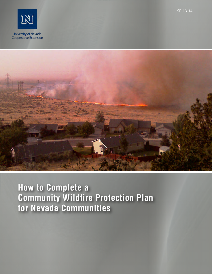SP-13-14





# **How to Complete a Community Wildfire Protection Plan for Nevada Communities**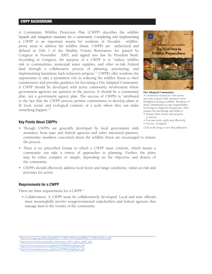## CWPP BACKGROUND

A Community Wildfire Protection Plan (CWPP) describes the wildfire hazards and mitigation measures for a community. Completing and implementing a CWPP is an important means for residents of Nevada's wildfireprone areas to address the wildfire threat. CWPPs are authorized and defined in Title I of the Healthy Forests Restoration Act passed by Congress in November 2003, and signed into law by President Bush. According to Congress, the purpose of a CWPP is to "reduce wildfire risk to communities, municipal water supplies, and other at-risk Federal land through a collaborative process of planning, prioritizing, and implementing hazardous fuels reduction projects."<sup>1</sup> CWPPs offer residents the opportunity to take a prominent role in reducing the wildfire threat to their communities and provides guidance for becoming a Fire Adapted Community. A CWPP should be developed with active community involvement where government agencies are partners in the process. It should be a community plan, not a government agency plan. The success of CWPPs is "attributed to the fact that the CWPP process permits communities to develop plans to fit local, social, and ecological contexts, at a scale where they can make something happen."<sup>2</sup>

#### **Key Points About CWPPs**<sup>3</sup>

- Though CWPPs are generally developed by local government with assistance from state and federal agencies and other interested partners, community members concerned about the wildfire threat are encouraged to initiate the process.
- There is no prescribed format to which a CWPP must conform, which means a community can take a variety of approaches to planning. Further, the plans may be either complex or simple, depending on the objectives and desires of the community.
- CWPPs should effectively address local forest and range conditions, values-at-risk and priorities for action.

#### **Requirements for a CWPP**

There are three requirements for a CWPP:<sup>4</sup>

• Collaboration. A CWPP must be collaboratively developed. Local and state officials must meaningfully involve nongovernmental stakeholders and federal agencies that manage land in the vicinity of the community.



<sup>&</sup>lt;sup>2</sup> http://www.fs.fed.us/rm/pubs\_other/rmrs\_2011\_jakes\_p001.pdf



Fire Adapted Community: A community located in a fire-prone area that requires little assistance from firefighters during a wildfire. Residents of these communities accept responsibility for living in a high fire-hazard area. They possess the knowledge and skills to:

- Prepare their homes and property to survive.
- Evacuate early, safely and effectively. • Survive, if trapped.
- *Click on the image to view this publication.*

<sup>&</sup>lt;sup>3</sup> http://www.stateforesters.org/files/CWPPBriefingPaper.pdf

<sup>4</sup> http://www.stateforesters.org/files/CWPPBriefingPaper.pdf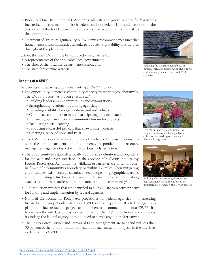- Prioritized Fuel Reduction. A CWPP must identify and prioritize areas for hazardous fuel-reduction treatments on both federal and nonfederal land and recommend the types and methods of treatment that, if completed, would reduce the risk to the community.
- Treatment of Structural Ignitability. A CWPP must recommend measures that homeowners and communities can take to reduce the ignitability of structures throughout the plan area.

Further, the final CWPP must be approved via signature from:

- A representative of the applicable local government;
- The chief of the local fire department/district; and
- The state forester/fire warden.

## **Benefits of a CWPP**

The benefits of preparing and implementing a CWPP include:

- The opportunity to increase community capacity by working collaboratively.
	- The CWPP process has proven effective at: $5$
	- o Building leadership in communities and organizations.
	- o Strengthening relationships among agencies.
	- o Providing visibility for organizations and individuals.
	- o Gaining access to networks and participating in coordinated efforts.
	- <sup>o</sup> Enhancing stewardship and community buy-in for projects.
	- o Facilitating social learning.
	- o Producing successful projects that spawn other projects.
	-
- The CWPP process allows communities the chance to form relationships with the fire department, other emergency responders and resource management agencies tasked with hazardous fuels reduction.
- The opportunity to establish a locally appropriate definition and boundary for the wildland-urban interface. In the absence of a CWPP, the Healthy Forests Restoration Act limits the wildland-urban interface to within onehalf mile of a community's boundary or within  $1\frac{1}{2}$  miles when mitigating circumstances exist, such as sustained steep slopes or geographic features aiding in creating a fire break. However, fuels treatments can occur along evacuation routes regardless of their distance from the community.6
- Fuel-reduction projects that are identified in a CWPP are to receive priority for funding and implementation by federal agencies.
- National Environmental Policy Act procedures for federal agencies implementing fuel-reduction projects identified in a CWPP can be expedited. If a federal agency is planning a fuel-reduction project to implement a recommendation in a CWPP that lies within the interface and is located no farther than  $1\frac{1}{2}$  miles from the community boundary, the federal agency does not need to alayze any other alternatives.
- The USDA Forest Service and Bureau of Land Management are to spend not less than 50 percent of the funds allocated for hazardous fuel-reduction projects in the interface, as defined in a CWPP.



Reducing the structural ignitability of houses, such as replacing wood shake roofs and removing pine needles, is a CWPP objective.



o containing succession projects that spawn other projects.<br>CWPPs can identify community-level<br>projects, such as establishing a bioma:<br>projects, such as establishing a bioma: projects, such as establishing a biomass collection site to drop off unwanted<br>flammable vegetation.



Building effective working relationships between agencies and the public is an important by-product of the CWPP process.

<sup>5</sup>http://www.fs.fed.us/rm/pubs/rmrs\_p046/rmrs\_p046\_613\_624.pdf

<sup>6</sup> http://www.stateforesters.org/sites/default/files/publication-documents/cwpphandbook.pdf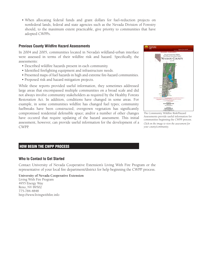• When allocating federal funds and grant dollars for fuel-reduction projects on nonfederal lands, federal and state agencies such as the Nevada Division of Forestry should, to the maximum extent practicable, give priority to communities that have adopted CWPPs.

## **Previous County Wildfire Hazard Assessments**

In 2004 and 2005, communities located in Nevada's wildland-urban interface were assessed in terms of their wildfire risk and hazard. Specifically, the assessments:

- Described wildfire hazards present in each community.
- Identified firefighting equipment and infrastructure needs.
- Presented maps of fuel hazards in high and extreme fire-hazard communities.
- • Proposed risk and hazard mitigation projects.

While these reports provided useful information, they sometimes addressed large areas that encompassed multiple communities on a broad scale and did not always involve community stakeholders as required by the Healthy Forests Restoration Act. In addition, conditions have changed in some areas. For example, in some communities wildfire has changed fuel types; community fuelbreaks have been constructed; overgrown vegetation has significantly compromised residential defensible space; and/or a number of other changes have occured that require updating of the hazard assessment. This initial assessment, however, can provide useful information for the development of a CWPP.



The Community Wildfire Risk/Hazard Assessments provide useful information for communities beginning the CWPP process. *Click on the image to view the assessment for your county/community.*

## HOW BEGIN THE CWPP PROCESS

## **Who to Contact to Get Started**

Contact University of Nevada Cooperative Extension's Living With Fire Program or the representative of your local fire department/district for help beginning the CWPP process.

#### **University of Nevada Cooperative Extension**

Living With Fire Program 4955 Energy Way Reno, NV 89502 775-784-4848 http://www.livingwithfire.info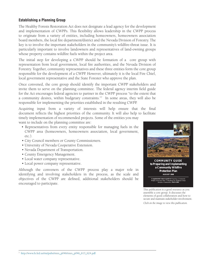## **Establishing a Planning Group**

The Healthy Forests Restoration Act does not designate a lead agency for the development and implementation of CWPPs. This flexibility allows leadership in the CWPP process to originate from a variety of entities, including homeowners, homeowners association board members, the local fire department/district and the Nevada Division of Forestry. The key is to involve the important stakeholders in the community's wildfire-threat issue. It is particularly important to involve landowners and representatives of land-owning groups whose property contains wildfire fuels within the project area.

The initial step for developing a CWPP should be formation of a core group with representation from local government, local fire authorities, and the Nevada Division of Forestry. Together, community representatives and these three entities form the core group responsible for the development of a CWPP. However, ultimately it is the local Fire Chief, local government representative and the State Forester who approve the plan.

Once convened, the core group should identify the important CWPP stakeholders and invite them to serve on the planning committee. The federal agency interim field guide for the Act encourages federal agencies to partner in the CWPP process "to the extent that a community desires, within budgetary constraints."<sup>7</sup> In some areas, they will also be responsible for implementing the priorities established in the resulting CWPP.

Acquiring input from a variety of interests will help ensure that the final document reflects the highest priorities of the community. It will also help to facilitate timely implementation of recommended projects. Some of the entities you may

want to include on the planning committee are:

- Representatives from every entity responsible for managing fuels in the CWPP area (homeowners, homeowners association, local government, etc.).
- City Council members or County Commissioners.
- University of Nevada Cooperative Extension.
- Nevada Department of Transportation.
- County Emergency Management.
- Local water company representative.
- Local power company representative.

Although the conveners of the CWPP process play a major role in identifying and involving stakeholders in the process, as the scale and objectives of the CWPP are defined, additional stakeholders should be encouraged to participate.



**COMMUNITY GUIDE to Preparing and Implementing a Community Wildfire Protection Plan AUGUST 2008**

**A supplemental resource guide to** *Preparing a Community Wildfire Protection Plan: A Handbook for Wildland–Urban Interface Communities,* **March 2004**

This publication is a good resource as you assemble a core group. It discusses the elements of good collaboration and how to secure and maintain stakeholder involvement. *Click on the image to view this publication.*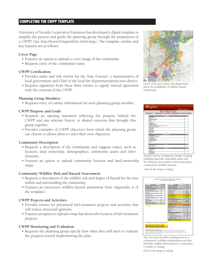# COMPLETING THE CWPP TEMPLATE

University of Nevada Cooperative Extension has developed a digital template to simplify the process and guide the planning group through the preparation of a CWPP. (See http://www.livingwithfire.info/cwpp.) The template outline and key features are as follows:

## **Cover Page**

- Features an option to upload a cover image of the community.
- Requests entry of the community name.

#### **CWPP Certification**

- Provides name and title entries for the State Forester, a representative of local government and Chief of the local fire department/protection district.
- Requires signatures from these three entities to signify mutual agreement with the contents of the CWPP.

#### **Planning Group Members**

• Requests entry of contact information for each planning group member.

#### **CWPP Purpose and Goals**

- Requests an opening statement reflecting the purpose behind the CWPP and any relevant history or shared concerns that brought this group together.
- Provides examples of CWPP objectives from which the planning group can choose or allows them to enter their own objectives.

#### **Community Description**

- Requests a description of the community and suggests topics, such as location, land ownership, demographics, community assets and other elements.
- Features an option to upload community location and land-ownership maps.

#### **Community Wildfire Risk and Hazard Assessment**

- Requests a description of the wildfire risk and degree of hazard for the area within and surrounding the community.
- Features an interactive wildfire-hazard assessment form (Appendix A of the template).

#### **CWPP Projects and Activities**

- Provides entries for prioritized fuel-treatment projects and activities that will reduce structural ignitions.
- Features an option to upload a map that shows the location of fuel-treatment projects.

#### **CWPP Monitoring and Evaluation**

• Requests the planning group specify how often they will meet to evaluate the progress toward implementing the plan.



Check with your county GIS department about the availability of wildfire-hazard rating maps.



Factors such as community design, existing building materials, defensible space and fire behavior are looked at when assessing a community's wildfire hazards. *Click on the image to enlarge.*



The overview identifies inadequacies in a community's wildfire preparedness and also identifies wildfire-threat factors a community is unable to change.

*Click on the image to enlarge.*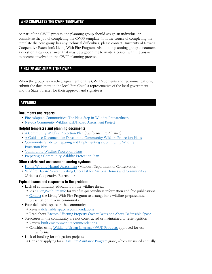# WHO COMPLETES THE CWPP TEMPLATE?

As part of the CWPP process, the planning group should assign an individual or committee the job of completing the CWPP template. If in the course of completing the template the core group has any technical difficulties, please contact University of Nevada Cooperative Extension's Living With Fire Program. Also, if the planning group encounters a question it cannot answer, that may be a good time to invite a person with the answer to become involved in the CWPP planning process.

## FINALIzE AND SUBMIT THE CWPP

When the group has reached agreement on the CWPP's contents and recommendations, submit the document to the local Fire Chief, a representative of the local government, and the State Forester for their approval and signatures.

# APPENDIX

## **Documents and reports**

- Fire Adapted Communities: The Next Step in Wildfire Preparedness
- Nevada Community Wildfire Risk/Hazard Assessment Project

## **Helpful templates and planning documents**

- A Community Wildfire Protection Plan (California Fire Alliance)
- A Guidance Document for Developing Community Wildfire Protection Plans
- Community Guide to Preparing and Implementing a Community Wildfire **Protection Plan**
- Community Wildfire Protection Plans
- Preparing a Community Wildfire Protection Plan

## **Other risk/hazard assessment scoring systems**

- [Home Wildfire Hazard Assessment](http://www.dadecounty911.com/wildfireassessment.pdf) (Missouri Department of Conservation)
- Wildfire Hazard Severity Rating Checklist for Arizona Homes and Communities (Arizona Cooperative Extension)

## **Typical issues and responses to the problem**

- Lack of community education on the wildfire threat
	- <sup>o</sup> Visit LivingWithFire.info for wildfire-preparedness information and free publications
	- <sup>o</sup> [Contact](http://www.livingwithfire.info/contact-us) the Living With Fire Program to arrange for a wildfire-preparedness presentation in your community.
- Poor defensible space in the community
	- o Review [defensible space recommendations](http://www.livingwithfire.info/before-the-fire)
	- <sup>o</sup> Read about Factors Affecting Property Owner Decisions About Defensible Space
- Structures in the community are not constructed or maintained to resist ignition
	- o Review [built environment recommendations](http://www.livingwithfire.info/before-the-fire)
	- o Consider using Wildland Urban Interface (WUI) Products approved for use in California
- Lack of funding for mitigation projects
	- o Consider applying for a **State Fire Assistance Program grant**, which are issued annually